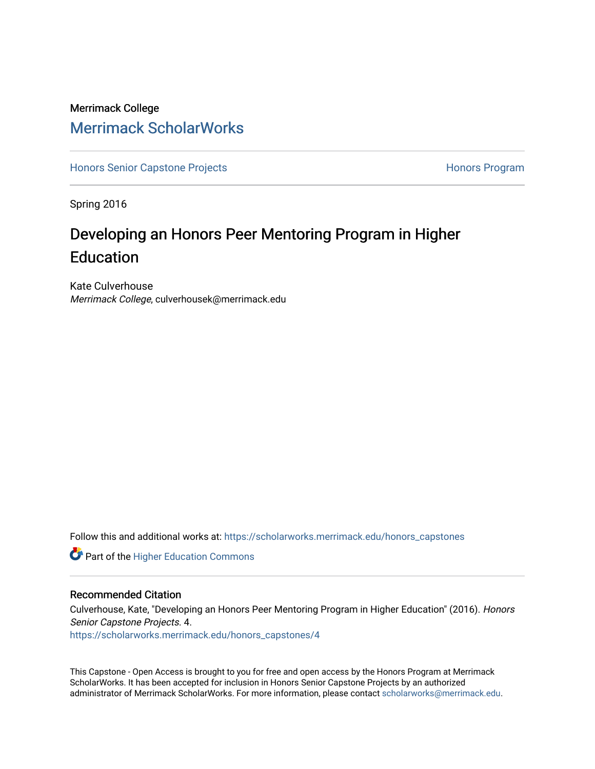## Merrimack College [Merrimack ScholarWorks](https://scholarworks.merrimack.edu/)

[Honors Senior Capstone Projects](https://scholarworks.merrimack.edu/honors_capstones) **Honors Program** Honors Program

Spring 2016

## Developing an Honors Peer Mentoring Program in Higher Education

Kate Culverhouse Merrimack College, culverhousek@merrimack.edu

Follow this and additional works at: [https://scholarworks.merrimack.edu/honors\\_capstones](https://scholarworks.merrimack.edu/honors_capstones?utm_source=scholarworks.merrimack.edu%2Fhonors_capstones%2F4&utm_medium=PDF&utm_campaign=PDFCoverPages)

**Part of the Higher Education Commons** 

## Recommended Citation

Culverhouse, Kate, "Developing an Honors Peer Mentoring Program in Higher Education" (2016). Honors Senior Capstone Projects. 4.

[https://scholarworks.merrimack.edu/honors\\_capstones/4](https://scholarworks.merrimack.edu/honors_capstones/4?utm_source=scholarworks.merrimack.edu%2Fhonors_capstones%2F4&utm_medium=PDF&utm_campaign=PDFCoverPages)

This Capstone - Open Access is brought to you for free and open access by the Honors Program at Merrimack ScholarWorks. It has been accepted for inclusion in Honors Senior Capstone Projects by an authorized administrator of Merrimack ScholarWorks. For more information, please contact [scholarworks@merrimack.edu](mailto:scholarworks@merrimack.edu).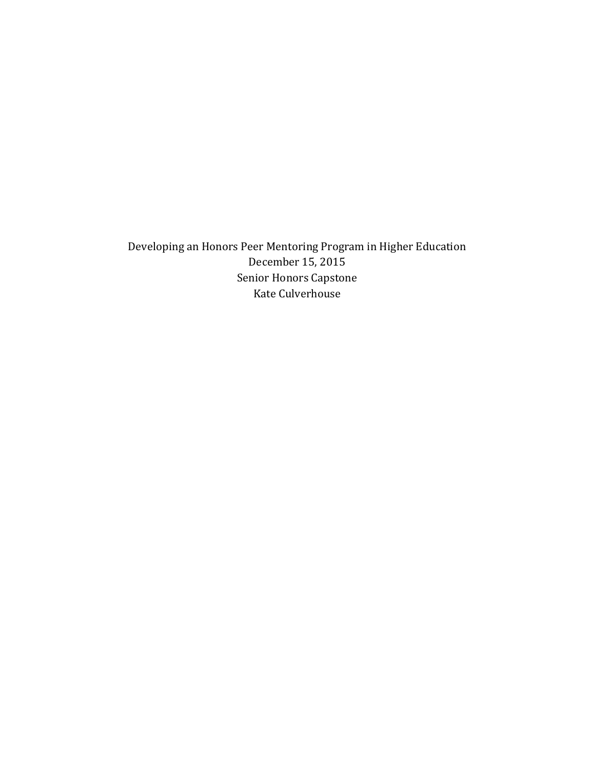Developing an Honors Peer Mentoring Program in Higher Education December 15, 2015 Senior Honors Capstone Kate Culverhouse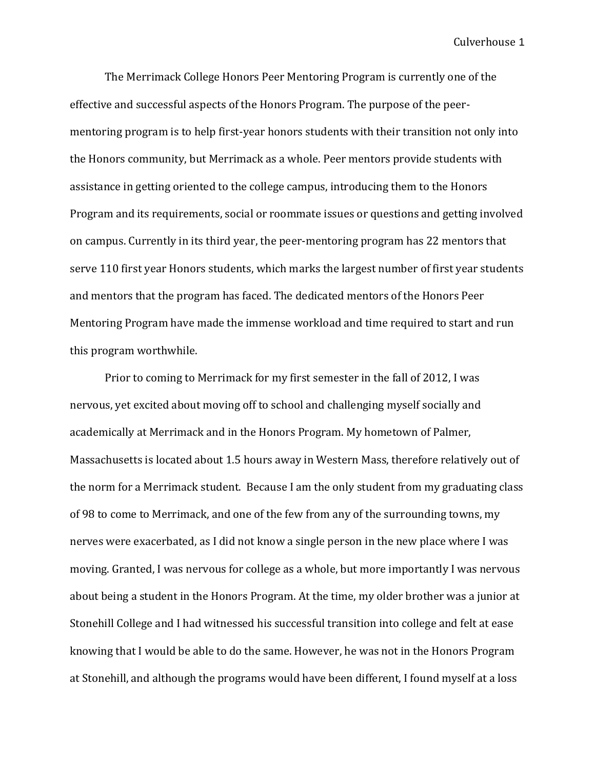The Merrimack College Honors Peer Mentoring Program is currently one of the effective and successful aspects of the Honors Program. The purpose of the peermentoring program is to help first-year honors students with their transition not only into the Honors community, but Merrimack as a whole. Peer mentors provide students with assistance in getting oriented to the college campus, introducing them to the Honors Program and its requirements, social or roommate issues or questions and getting involved on campus. Currently in its third year, the peer-mentoring program has 22 mentors that serve 110 first year Honors students, which marks the largest number of first year students and mentors that the program has faced. The dedicated mentors of the Honors Peer Mentoring Program have made the immense workload and time required to start and run this program worthwhile.

Prior to coming to Merrimack for my first semester in the fall of 2012, I was nervous, yet excited about moving off to school and challenging myself socially and academically at Merrimack and in the Honors Program. My hometown of Palmer, Massachusetts is located about 1.5 hours away in Western Mass, therefore relatively out of the norm for a Merrimack student. Because I am the only student from my graduating class of 98 to come to Merrimack, and one of the few from any of the surrounding towns, my nerves were exacerbated, as I did not know a single person in the new place where I was moving. Granted, I was nervous for college as a whole, but more importantly I was nervous about being a student in the Honors Program. At the time, my older brother was a junior at Stonehill College and I had witnessed his successful transition into college and felt at ease knowing that I would be able to do the same. However, he was not in the Honors Program at Stonehill, and although the programs would have been different, I found myself at a loss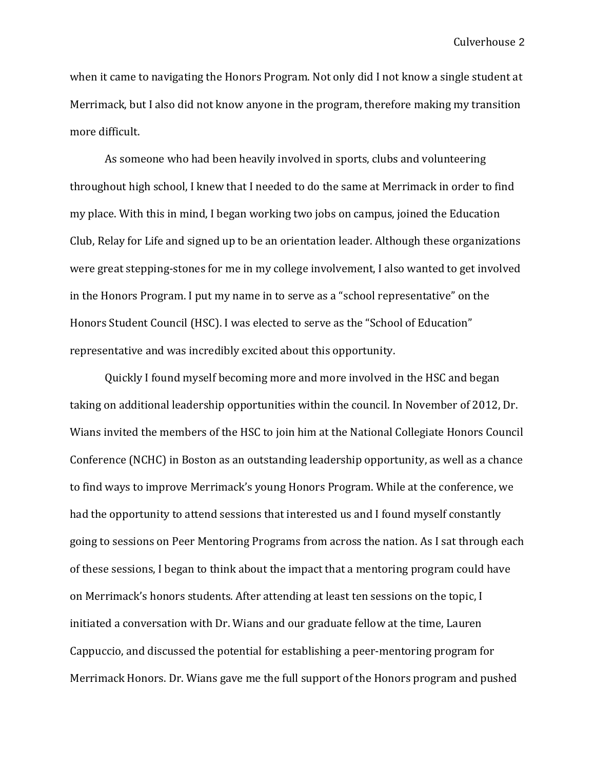when it came to navigating the Honors Program. Not only did I not know a single student at Merrimack, but I also did not know anyone in the program, therefore making my transition more difficult.

As someone who had been heavily involved in sports, clubs and volunteering throughout high school, I knew that I needed to do the same at Merrimack in order to find my place. With this in mind, I began working two jobs on campus, joined the Education Club, Relay for Life and signed up to be an orientation leader. Although these organizations were great stepping-stones for me in my college involvement, I also wanted to get involved in the Honors Program. I put my name in to serve as a "school representative" on the Honors Student Council (HSC). I was elected to serve as the "School of Education" representative and was incredibly excited about this opportunity.

Quickly I found myself becoming more and more involved in the HSC and began taking on additional leadership opportunities within the council. In November of 2012, Dr. Wians invited the members of the HSC to join him at the National Collegiate Honors Council Conference (NCHC) in Boston as an outstanding leadership opportunity, as well as a chance to find ways to improve Merrimack's young Honors Program. While at the conference, we had the opportunity to attend sessions that interested us and I found myself constantly going to sessions on Peer Mentoring Programs from across the nation. As I sat through each of these sessions, I began to think about the impact that a mentoring program could have on Merrimack's honors students. After attending at least ten sessions on the topic, I initiated a conversation with Dr. Wians and our graduate fellow at the time, Lauren Cappuccio, and discussed the potential for establishing a peer-mentoring program for Merrimack Honors. Dr. Wians gave me the full support of the Honors program and pushed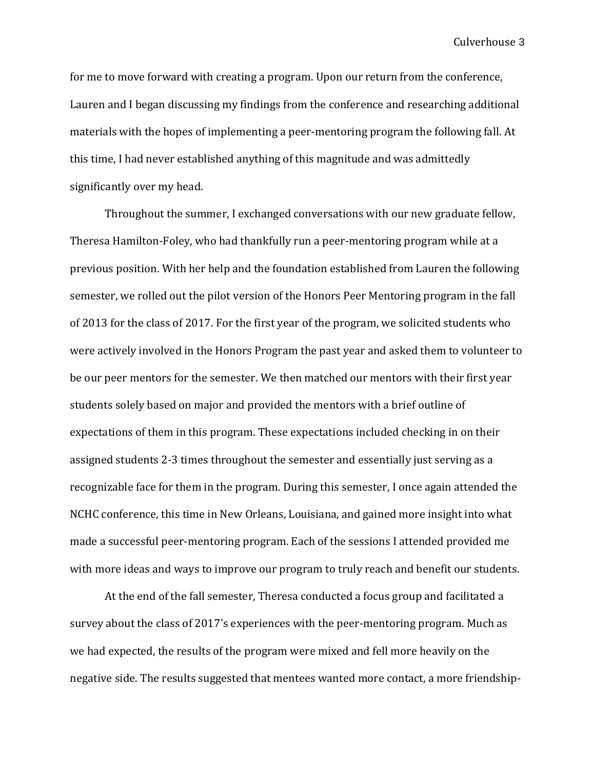for me to move forward with creating a program. Upon our return from the conference, Lauren and I began discussing my findings from the conference and researching additional materials with the hopes of implementing a peer-mentoring program the following fall. At this time, I had never established anything of this magnitude and was admittedly significantly over my head.

Throughout the summer, I exchanged conversations with our new graduate fellow, Theresa Hamilton-Foley, who had thankfully run a peer-mentoring program while at a previous position. With her help and the foundation established from Lauren the following semester, we rolled out the pilot version of the Honors Peer Mentoring program in the fall of 2013 for the class of 2017. For the first year of the program, we solicited students who were actively involved in the Honors Program the past year and asked them to volunteer to be our peer mentors for the semester. We then matched our mentors with their first year students solely based on major and provided the mentors with a brief outline of expectations of them in this program. These expectations included checking in on their assigned students 2-3 times throughout the semester and essentially just serving as a recognizable face for them in the program. During this semester, I once again attended the NCHC conference, this time in New Orleans, Louisiana, and gained more insight into what made a successful peer-mentoring program. Each of the sessions I attended provided me with more ideas and ways to improve our program to truly reach and benefit our students.

At the end of the fall semester, Theresa conducted a focus group and facilitated a survey about the class of 2017's experiences with the peer-mentoring program. Much as we had expected, the results of the program were mixed and fell more heavily on the negative side. The results suggested that mentees wanted more contact, a more friendship-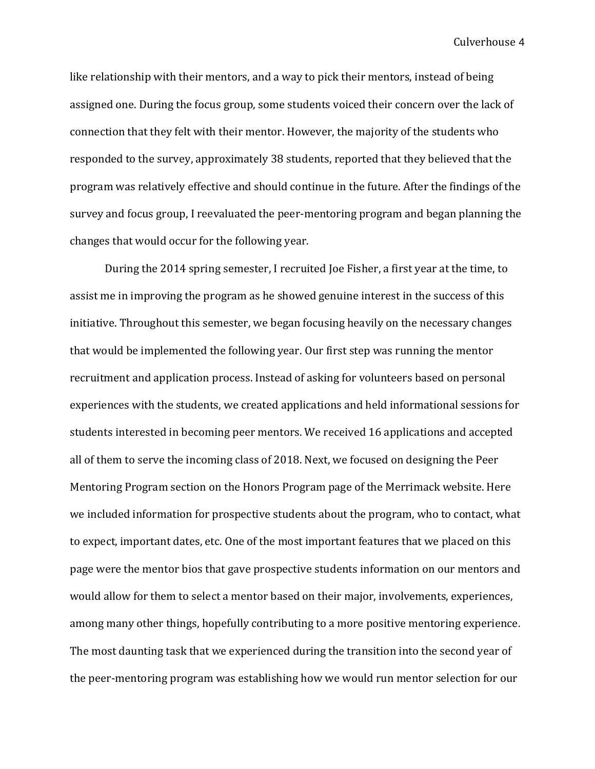like relationship with their mentors, and a way to pick their mentors, instead of being assigned one. During the focus group, some students voiced their concern over the lack of connection that they felt with their mentor. However, the majority of the students who responded to the survey, approximately 38 students, reported that they believed that the program was relatively effective and should continue in the future. After the findings of the survey and focus group, I reevaluated the peer-mentoring program and began planning the changes that would occur for the following year.

During the 2014 spring semester, I recruited Joe Fisher, a first year at the time, to assist me in improving the program as he showed genuine interest in the success of this initiative. Throughout this semester, we began focusing heavily on the necessary changes that would be implemented the following year. Our first step was running the mentor recruitment and application process. Instead of asking for volunteers based on personal experiences with the students, we created applications and held informational sessions for students interested in becoming peer mentors. We received 16 applications and accepted all of them to serve the incoming class of 2018. Next, we focused on designing the Peer Mentoring Program section on the Honors Program page of the Merrimack website. Here we included information for prospective students about the program, who to contact, what to expect, important dates, etc. One of the most important features that we placed on this page were the mentor bios that gave prospective students information on our mentors and would allow for them to select a mentor based on their major, involvements, experiences, among many other things, hopefully contributing to a more positive mentoring experience. The most daunting task that we experienced during the transition into the second year of the peer-mentoring program was establishing how we would run mentor selection for our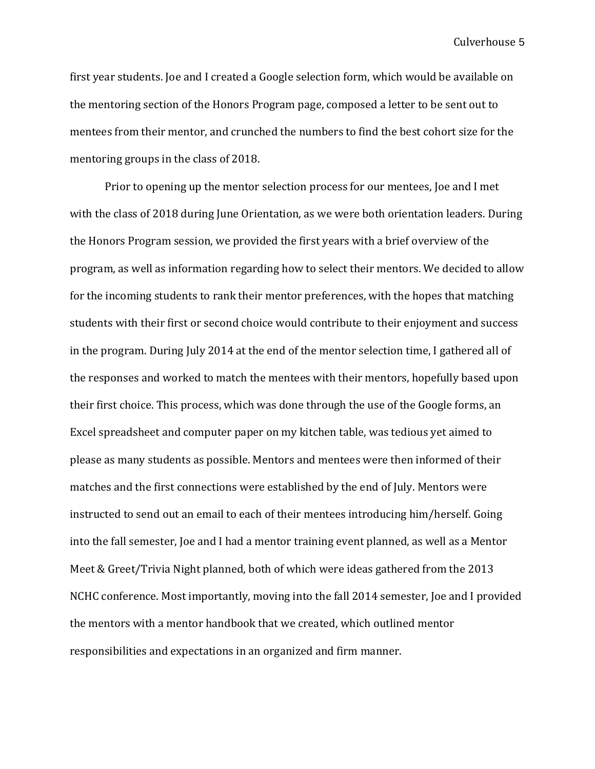first year students. Joe and I created a Google selection form, which would be available on the mentoring section of the Honors Program page, composed a letter to be sent out to mentees from their mentor, and crunched the numbers to find the best cohort size for the mentoring groups in the class of 2018.

Prior to opening up the mentor selection process for our mentees, Joe and I met with the class of 2018 during June Orientation, as we were both orientation leaders. During the Honors Program session, we provided the first years with a brief overview of the program, as well as information regarding how to select their mentors. We decided to allow for the incoming students to rank their mentor preferences, with the hopes that matching students with their first or second choice would contribute to their enjoyment and success in the program. During July 2014 at the end of the mentor selection time, I gathered all of the responses and worked to match the mentees with their mentors, hopefully based upon their first choice. This process, which was done through the use of the Google forms, an Excel spreadsheet and computer paper on my kitchen table, was tedious yet aimed to please as many students as possible. Mentors and mentees were then informed of their matches and the first connections were established by the end of July. Mentors were instructed to send out an email to each of their mentees introducing him/herself. Going into the fall semester, Joe and I had a mentor training event planned, as well as a Mentor Meet & Greet/Trivia Night planned, both of which were ideas gathered from the 2013 NCHC conference. Most importantly, moving into the fall 2014 semester, Joe and I provided the mentors with a mentor handbook that we created, which outlined mentor responsibilities and expectations in an organized and firm manner.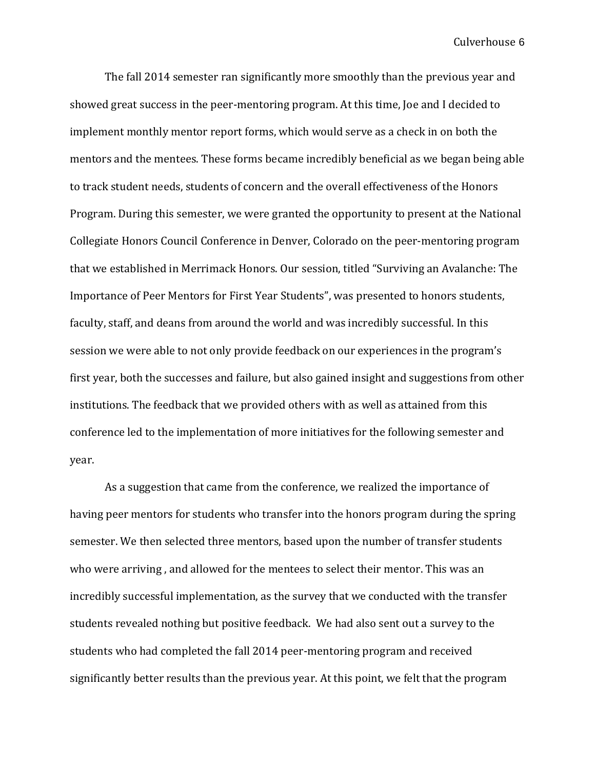The fall 2014 semester ran significantly more smoothly than the previous year and showed great success in the peer-mentoring program. At this time, Joe and I decided to implement monthly mentor report forms, which would serve as a check in on both the mentors and the mentees. These forms became incredibly beneficial as we began being able to track student needs, students of concern and the overall effectiveness of the Honors Program. During this semester, we were granted the opportunity to present at the National Collegiate Honors Council Conference in Denver, Colorado on the peer-mentoring program that we established in Merrimack Honors. Our session, titled "Surviving an Avalanche: The Importance of Peer Mentors for First Year Students", was presented to honors students, faculty, staff, and deans from around the world and was incredibly successful. In this session we were able to not only provide feedback on our experiences in the program's first year, both the successes and failure, but also gained insight and suggestions from other institutions. The feedback that we provided others with as well as attained from this conference led to the implementation of more initiatives for the following semester and year.

As a suggestion that came from the conference, we realized the importance of having peer mentors for students who transfer into the honors program during the spring semester. We then selected three mentors, based upon the number of transfer students who were arriving , and allowed for the mentees to select their mentor. This was an incredibly successful implementation, as the survey that we conducted with the transfer students revealed nothing but positive feedback. We had also sent out a survey to the students who had completed the fall 2014 peer-mentoring program and received significantly better results than the previous year. At this point, we felt that the program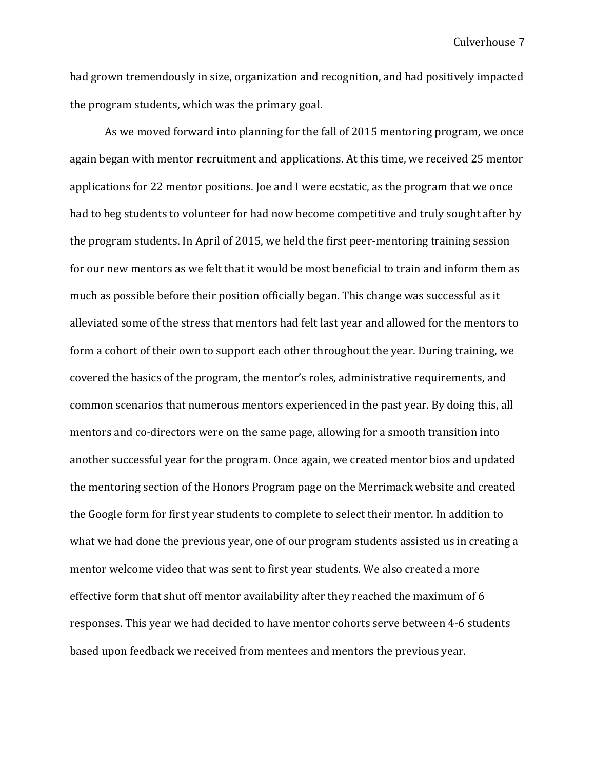had grown tremendously in size, organization and recognition, and had positively impacted the program students, which was the primary goal.

As we moved forward into planning for the fall of 2015 mentoring program, we once again began with mentor recruitment and applications. At this time, we received 25 mentor applications for 22 mentor positions. Joe and I were ecstatic, as the program that we once had to beg students to volunteer for had now become competitive and truly sought after by the program students. In April of 2015, we held the first peer-mentoring training session for our new mentors as we felt that it would be most beneficial to train and inform them as much as possible before their position officially began. This change was successful as it alleviated some of the stress that mentors had felt last year and allowed for the mentors to form a cohort of their own to support each other throughout the year. During training, we covered the basics of the program, the mentor's roles, administrative requirements, and common scenarios that numerous mentors experienced in the past year. By doing this, all mentors and co-directors were on the same page, allowing for a smooth transition into another successful year for the program. Once again, we created mentor bios and updated the mentoring section of the Honors Program page on the Merrimack website and created the Google form for first year students to complete to select their mentor. In addition to what we had done the previous year, one of our program students assisted us in creating a mentor welcome video that was sent to first year students. We also created a more effective form that shut off mentor availability after they reached the maximum of 6 responses. This year we had decided to have mentor cohorts serve between 4-6 students based upon feedback we received from mentees and mentors the previous year.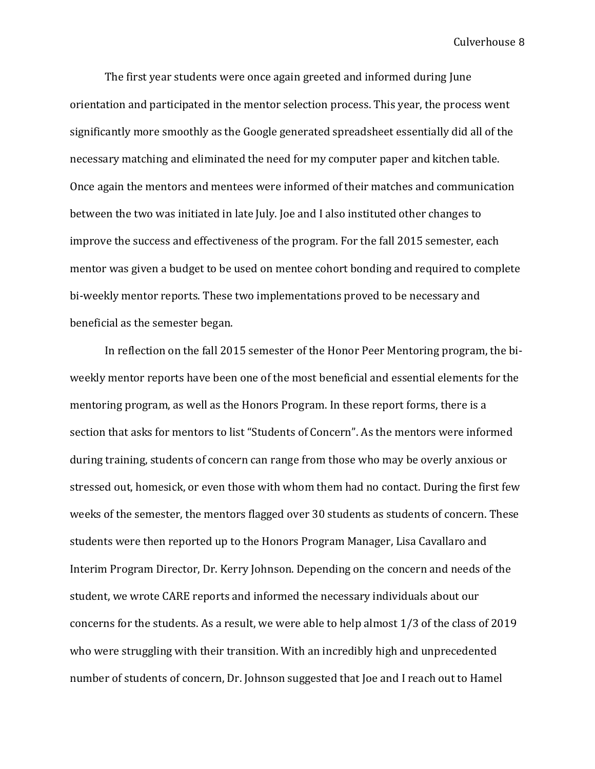The first year students were once again greeted and informed during June orientation and participated in the mentor selection process. This year, the process went significantly more smoothly as the Google generated spreadsheet essentially did all of the necessary matching and eliminated the need for my computer paper and kitchen table. Once again the mentors and mentees were informed of their matches and communication between the two was initiated in late July. Joe and I also instituted other changes to improve the success and effectiveness of the program. For the fall 2015 semester, each mentor was given a budget to be used on mentee cohort bonding and required to complete bi-weekly mentor reports. These two implementations proved to be necessary and beneficial as the semester began.

In reflection on the fall 2015 semester of the Honor Peer Mentoring program, the biweekly mentor reports have been one of the most beneficial and essential elements for the mentoring program, as well as the Honors Program. In these report forms, there is a section that asks for mentors to list "Students of Concern". As the mentors were informed during training, students of concern can range from those who may be overly anxious or stressed out, homesick, or even those with whom them had no contact. During the first few weeks of the semester, the mentors flagged over 30 students as students of concern. These students were then reported up to the Honors Program Manager, Lisa Cavallaro and Interim Program Director, Dr. Kerry Johnson. Depending on the concern and needs of the student, we wrote CARE reports and informed the necessary individuals about our concerns for the students. As a result, we were able to help almost 1/3 of the class of 2019 who were struggling with their transition. With an incredibly high and unprecedented number of students of concern, Dr. Johnson suggested that Joe and I reach out to Hamel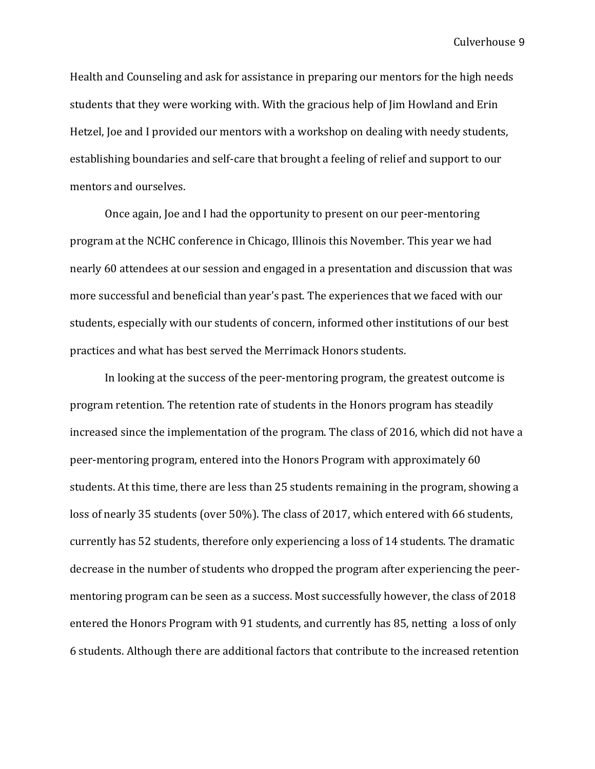Health and Counseling and ask for assistance in preparing our mentors for the high needs students that they were working with. With the gracious help of Jim Howland and Erin Hetzel, Joe and I provided our mentors with a workshop on dealing with needy students, establishing boundaries and self-care that brought a feeling of relief and support to our mentors and ourselves.

Once again, Joe and I had the opportunity to present on our peer-mentoring program at the NCHC conference in Chicago, Illinois this November. This year we had nearly 60 attendees at our session and engaged in a presentation and discussion that was more successful and beneficial than year's past. The experiences that we faced with our students, especially with our students of concern, informed other institutions of our best practices and what has best served the Merrimack Honors students.

 In looking at the success of the peer-mentoring program, the greatest outcome is program retention. The retention rate of students in the Honors program has steadily increased since the implementation of the program. The class of 2016, which did not have a peer-mentoring program, entered into the Honors Program with approximately 60 students. At this time, there are less than 25 students remaining in the program, showing a loss of nearly 35 students (over 50%). The class of 2017, which entered with 66 students, currently has 52 students, therefore only experiencing a loss of 14 students. The dramatic decrease in the number of students who dropped the program after experiencing the peermentoring program can be seen as a success. Most successfully however, the class of 2018 entered the Honors Program with 91 students, and currently has 85, netting a loss of only 6 students. Although there are additional factors that contribute to the increased retention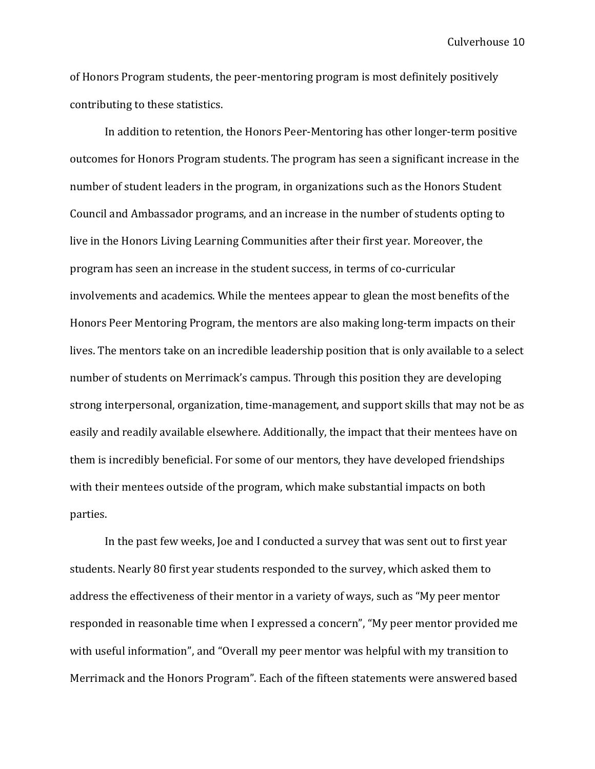of Honors Program students, the peer-mentoring program is most definitely positively contributing to these statistics.

In addition to retention, the Honors Peer-Mentoring has other longer-term positive outcomes for Honors Program students. The program has seen a significant increase in the number of student leaders in the program, in organizations such as the Honors Student Council and Ambassador programs, and an increase in the number of students opting to live in the Honors Living Learning Communities after their first year. Moreover, the program has seen an increase in the student success, in terms of co-curricular involvements and academics. While the mentees appear to glean the most benefits of the Honors Peer Mentoring Program, the mentors are also making long-term impacts on their lives. The mentors take on an incredible leadership position that is only available to a select number of students on Merrimack's campus. Through this position they are developing strong interpersonal, organization, time-management, and support skills that may not be as easily and readily available elsewhere. Additionally, the impact that their mentees have on them is incredibly beneficial. For some of our mentors, they have developed friendships with their mentees outside of the program, which make substantial impacts on both parties.

In the past few weeks, Joe and I conducted a survey that was sent out to first year students. Nearly 80 first year students responded to the survey, which asked them to address the effectiveness of their mentor in a variety of ways, such as "My peer mentor responded in reasonable time when I expressed a concern", "My peer mentor provided me with useful information", and "Overall my peer mentor was helpful with my transition to Merrimack and the Honors Program". Each of the fifteen statements were answered based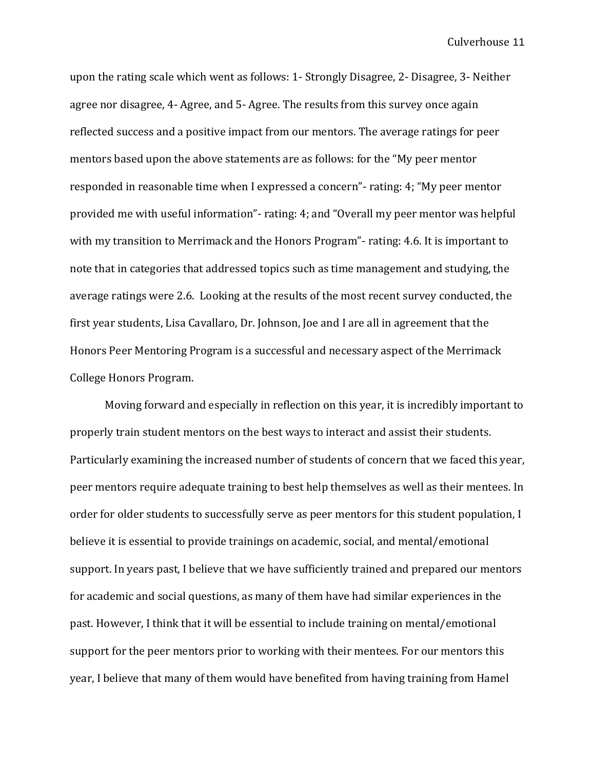upon the rating scale which went as follows: 1- Strongly Disagree, 2- Disagree, 3- Neither agree nor disagree, 4- Agree, and 5- Agree. The results from this survey once again reflected success and a positive impact from our mentors. The average ratings for peer mentors based upon the above statements are as follows: for the "My peer mentor responded in reasonable time when I expressed a concern"- rating: 4; "My peer mentor provided me with useful information"- rating: 4; and "Overall my peer mentor was helpful with my transition to Merrimack and the Honors Program"- rating: 4.6. It is important to note that in categories that addressed topics such as time management and studying, the average ratings were 2.6. Looking at the results of the most recent survey conducted, the first year students, Lisa Cavallaro, Dr. Johnson, Joe and I are all in agreement that the Honors Peer Mentoring Program is a successful and necessary aspect of the Merrimack College Honors Program.

Moving forward and especially in reflection on this year, it is incredibly important to properly train student mentors on the best ways to interact and assist their students. Particularly examining the increased number of students of concern that we faced this year, peer mentors require adequate training to best help themselves as well as their mentees. In order for older students to successfully serve as peer mentors for this student population, I believe it is essential to provide trainings on academic, social, and mental/emotional support. In years past, I believe that we have sufficiently trained and prepared our mentors for academic and social questions, as many of them have had similar experiences in the past. However, I think that it will be essential to include training on mental/emotional support for the peer mentors prior to working with their mentees. For our mentors this year, I believe that many of them would have benefited from having training from Hamel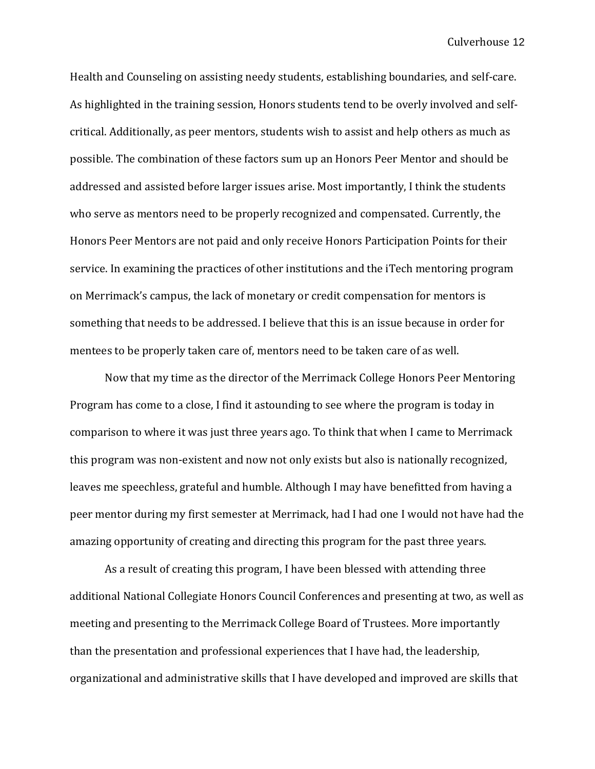Health and Counseling on assisting needy students, establishing boundaries, and self-care. As highlighted in the training session, Honors students tend to be overly involved and selfcritical. Additionally, as peer mentors, students wish to assist and help others as much as possible. The combination of these factors sum up an Honors Peer Mentor and should be addressed and assisted before larger issues arise. Most importantly, I think the students who serve as mentors need to be properly recognized and compensated. Currently, the Honors Peer Mentors are not paid and only receive Honors Participation Points for their service. In examining the practices of other institutions and the iTech mentoring program on Merrimack's campus, the lack of monetary or credit compensation for mentors is something that needs to be addressed. I believe that this is an issue because in order for mentees to be properly taken care of, mentors need to be taken care of as well.

Now that my time as the director of the Merrimack College Honors Peer Mentoring Program has come to a close, I find it astounding to see where the program is today in comparison to where it was just three years ago. To think that when I came to Merrimack this program was non-existent and now not only exists but also is nationally recognized, leaves me speechless, grateful and humble. Although I may have benefitted from having a peer mentor during my first semester at Merrimack, had I had one I would not have had the amazing opportunity of creating and directing this program for the past three years.

As a result of creating this program, I have been blessed with attending three additional National Collegiate Honors Council Conferences and presenting at two, as well as meeting and presenting to the Merrimack College Board of Trustees. More importantly than the presentation and professional experiences that I have had, the leadership, organizational and administrative skills that I have developed and improved are skills that